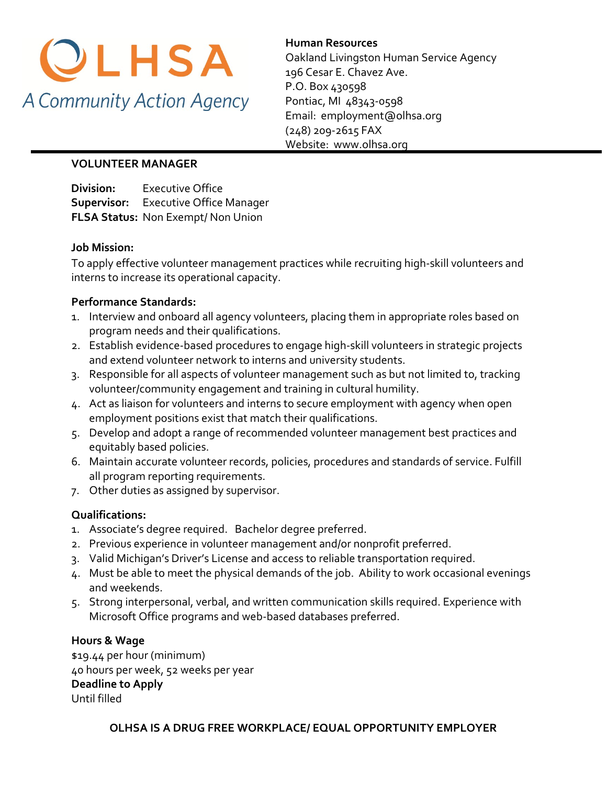

**Human Resources**  Oakland Livingston Human Service Agency 196 Cesar E. Chavez Ave. P.O. Box 430598 Pontiac, MI 48343-0598 Email: employment@olhsa.org (248) 209-2615 FAX Website: www.olhsa.org

## **VOLUNTEER MANAGER**

**Division:** Executive Office **Supervisor:** Executive Office Manager **FLSA Status:** Non Exempt/ Non Union

## **Job Mission:**

To apply effective volunteer management practices while recruiting high-skill volunteers and interns to increase its operational capacity.

## **Performance Standards:**

- 1. Interview and onboard all agency volunteers, placing them in appropriate roles based on program needs and their qualifications.
- 2. Establish evidence-based procedures to engage high-skill volunteers in strategic projects and extend volunteer network to interns and university students.
- 3. Responsible for all aspects of volunteer management such as but not limited to, tracking volunteer/community engagement and training in cultural humility.
- 4. Act as liaison for volunteers and interns to secure employment with agency when open employment positions exist that match their qualifications.
- 5. Develop and adopt a range of recommended volunteer management best practices and equitably based policies.
- 6. Maintain accurate volunteer records, policies, procedures and standards of service. Fulfill all program reporting requirements.
- 7. Other duties as assigned by supervisor.

## **Qualifications:**

- 1. Associate's degree required. Bachelor degree preferred.
- 2. Previous experience in volunteer management and/or nonprofit preferred.
- 3. Valid Michigan's Driver's License and access to reliable transportation required.
- 4. Must be able to meet the physical demands of the job. Ability to work occasional evenings and weekends.
- 5. Strong interpersonal, verbal, and written communication skills required. Experience with Microsoft Office programs and web-based databases preferred.

## **Hours & Wage**

\$19.44 per hour (minimum) 40 hours per week, 52 weeks per year **Deadline to Apply** Until filled

**OLHSA IS A DRUG FREE WORKPLACE/ EQUAL OPPORTUNITY EMPLOYER**